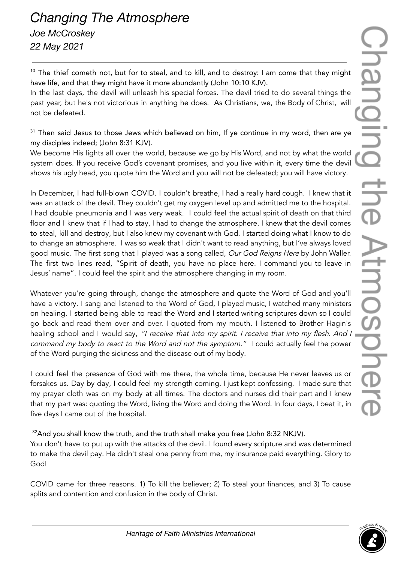<sup>10</sup> The thief cometh not, but for to steal, and to kill, and to destroy: I am come that they might have life, and that they might have it more abundantly (John 10:10 KJV).

In the last days, the devil will unleash his special forces. The devil tried to do several things the past year, but he's not victorious in anything he does. As Christians, we, the Body of Christ, will not be defeated.

<sup>31</sup> Then said Jesus to those Jews which believed on him, If ye continue in my word, then are ye my disciples indeed; (John 8:31 KJV).

We become His lights all over the world, because we go by His Word, and not by what the world system does. If you receive God's covenant promises, and you live within it, every time the devil shows his ugly head, you quote him the Word and you will not be defeated; you will have victory.

In December, I had full-blown COVID. I couldn't breathe, I had a really hard cough. I knew that it was an attack of the devil. They couldn't get my oxygen level up and admitted me to the hospital. I had double pneumonia and I was very weak. I could feel the actual spirit of death on that third floor and I knew that if I had to stay, I had to change the atmosphere. I knew that the devil comes to steal, kill and destroy, but I also knew my covenant with God. I started doing what I know to do to change an atmosphere. I was so weak that I didn't want to read anything, but I've always loved good music. The first song that I played was a song called, Our God Reigns Here by John Waller. The first two lines read, "Spirit of death, you have no place here. I command you to leave in Jesus' name". I could feel the spirit and the atmosphere changing in my room.

Whatever you're going through, change the atmosphere and quote the Word of God and you'll have a victory. I sang and listened to the Word of God, I played music, I watched many ministers on healing. I started being able to read the Word and I started writing scriptures down so I could go back and read them over and over. I quoted from my mouth. I listened to Brother Hagin's healing school and I would say, "I receive that into my spirit. I receive that into my flesh. And I command my body to react to the Word and not the symptom." I could actually feel the power of the Word purging the sickness and the disease out of my body.

I could feel the presence of God with me there, the whole time, because He never leaves us or forsakes us. Day by day, I could feel my strength coming. I just kept confessing. I made sure that my prayer cloth was on my body at all times. The doctors and nurses did their part and I knew that my part was: quoting the Word, living the Word and doing the Word. In four days, I beat it, in five days I came out of the hospital.

 $32$ And you shall know the truth, and the truth shall make you free (John 8:32 NKJV).

You don't have to put up with the attacks of the devil. I found every scripture and was determined to make the devil pay. He didn't steal one penny from me, my insurance paid everything. Glory to God!

COVID came for three reasons. 1) To kill the believer; 2) To steal your finances, and 3) To cause splits and contention and confusion in the body of Christ.

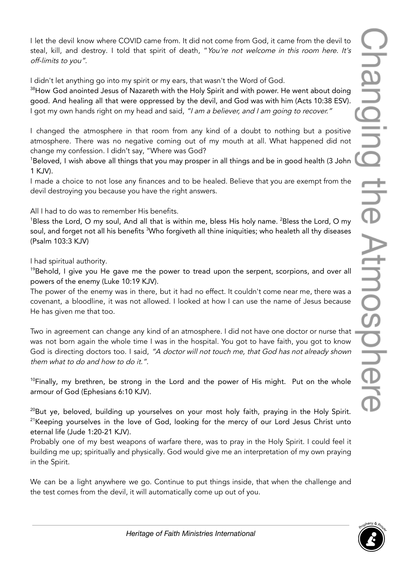I let the devil know where COVID came from. It did not come from God, it came from the devil to steal, kill, and destroy. I told that spirit of death, "You're not welcome in this room here. It's off-limits to you".

I didn't let anything go into my spirit or my ears, that wasn't the Word of God.

<sup>38</sup>How God anointed Jesus of Nazareth with the Holy Spirit and with power. He went about doing good. And healing all that were oppressed by the devil, and God was with him (Acts 10:38 ESV). I got my own hands right on my head and said, "I am a believer, and I am going to recover."

I changed the atmosphere in that room from any kind of a doubt to nothing but a positive atmosphere. There was no negative coming out of my mouth at all. What happened did not change my confession. I didn't say, "Where was God?

<sup>1</sup>Beloved, I wish above all things that you may prosper in all things and be in good health (3 John 1 KJV).

I made a choice to not lose any finances and to be healed. Believe that you are exempt from the devil destroying you because you have the right answers.

All I had to do was to remember His benefits.

<sup>1</sup>Bless the Lord, O my soul, And all that is within me, bless His holy name. <sup>2</sup>Bless the Lord, O my soul, and forget not all his benefits <sup>3</sup>Who forgiveth all thine iniquities; who healeth all thy diseases (Psalm 103:3 KJV)

I had spiritual authority.

 $198$ ehold, I give you He gave me the power to tread upon the serpent, scorpions, and over all powers of the enemy (Luke 10:19 KJV).

The power of the enemy was in there, but it had no effect. It couldn't come near me, there was a covenant, a bloodline, it was not allowed. I looked at how I can use the name of Jesus because He has given me that too.

Two in agreement can change any kind of an atmosphere. I did not have one doctor or nurse that was not born again the whole time I was in the hospital. You got to have faith, you got to know God is directing doctors too. I said, "A doctor will not touch me, that God has not already shown them what to do and how to do it.".

 $10$ Finally, my brethren, be strong in the Lord and the power of His might. Put on the whole armour of God (Ephesians 6:10 KJV).

 $^{20}$ But ye, beloved, building up yourselves on your most holy faith, praying in the Holy Spirit.  $21$ Keeping yourselves in the love of God, looking for the mercy of our Lord Jesus Christ unto eternal life (Jude 1:20-21 KJV).

Probably one of my best weapons of warfare there, was to pray in the Holy Spirit. I could feel it building me up; spiritually and physically. God would give me an interpretation of my own praying in the Spirit.

We can be a light anywhere we go. Continue to put things inside, that when the challenge and the test comes from the devil, it will automatically come up out of you.